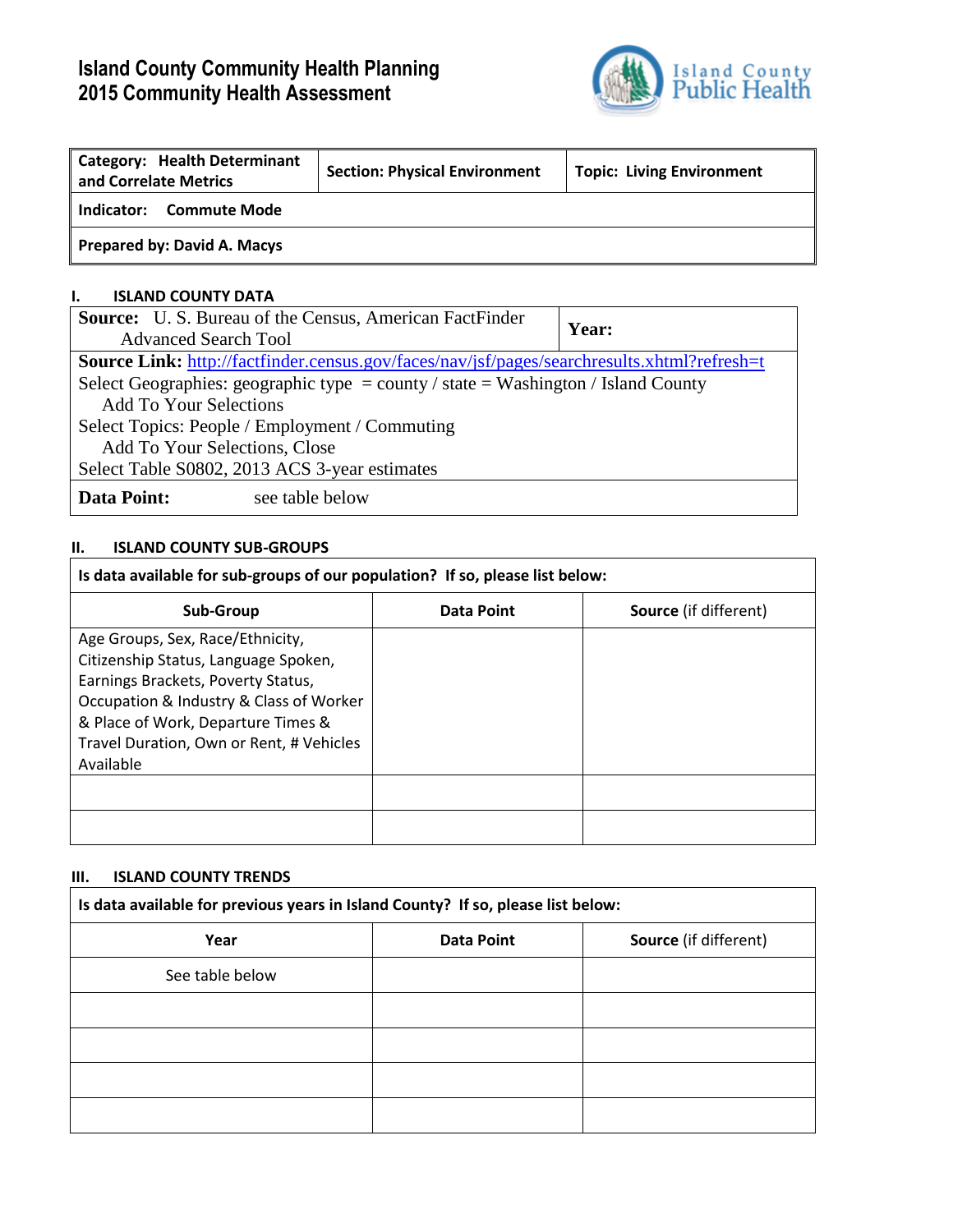# **Island County Community Health Planning 2015 Community Health Assessment**



| <b>Category: Health Determinant</b><br>and Correlate Metrics | <b>Section: Physical Environment</b> | <b>Topic: Living Environment</b> |
|--------------------------------------------------------------|--------------------------------------|----------------------------------|
| <b>Commute Mode</b><br>Indicator:                            |                                      |                                  |
| Prepared by: David A. Macys                                  |                                      |                                  |

### **I. ISLAND COUNTY DATA**

| <b>Source:</b> U.S. Bureau of the Census, American FactFinder                                      | <b>Year:</b> |  |  |  |  |
|----------------------------------------------------------------------------------------------------|--------------|--|--|--|--|
| <b>Advanced Search Tool</b>                                                                        |              |  |  |  |  |
| <b>Source Link:</b> http://factfinder.census.gov/faces/nav/jsf/pages/searchresults.xhtml?refresh=t |              |  |  |  |  |
| Select Geographies: geographic type = county / state = Washington / Island County                  |              |  |  |  |  |
| <b>Add To Your Selections</b>                                                                      |              |  |  |  |  |
| Select Topics: People / Employment / Commuting                                                     |              |  |  |  |  |
| Add To Your Selections, Close                                                                      |              |  |  |  |  |
| Select Table S0802, 2013 ACS 3-year estimates                                                      |              |  |  |  |  |
| Data Point:<br>see table below                                                                     |              |  |  |  |  |

## **II. ISLAND COUNTY SUB-GROUPS**

| Is data available for sub-groups of our population? If so, please list below:                                                                                                                                                                            |                   |                              |  |  |  |  |  |  |
|----------------------------------------------------------------------------------------------------------------------------------------------------------------------------------------------------------------------------------------------------------|-------------------|------------------------------|--|--|--|--|--|--|
| Sub-Group                                                                                                                                                                                                                                                | <b>Data Point</b> | <b>Source</b> (if different) |  |  |  |  |  |  |
| Age Groups, Sex, Race/Ethnicity,<br>Citizenship Status, Language Spoken,<br>Earnings Brackets, Poverty Status,<br>Occupation & Industry & Class of Worker<br>& Place of Work, Departure Times &<br>Travel Duration, Own or Rent, # Vehicles<br>Available |                   |                              |  |  |  |  |  |  |
|                                                                                                                                                                                                                                                          |                   |                              |  |  |  |  |  |  |
|                                                                                                                                                                                                                                                          |                   |                              |  |  |  |  |  |  |

### **III. ISLAND COUNTY TRENDS**

| Is data available for previous years in Island County? If so, please list below: |                                                   |  |  |  |  |  |  |  |
|----------------------------------------------------------------------------------|---------------------------------------------------|--|--|--|--|--|--|--|
| Year                                                                             | <b>Source</b> (if different)<br><b>Data Point</b> |  |  |  |  |  |  |  |
| See table below                                                                  |                                                   |  |  |  |  |  |  |  |
|                                                                                  |                                                   |  |  |  |  |  |  |  |
|                                                                                  |                                                   |  |  |  |  |  |  |  |
|                                                                                  |                                                   |  |  |  |  |  |  |  |
|                                                                                  |                                                   |  |  |  |  |  |  |  |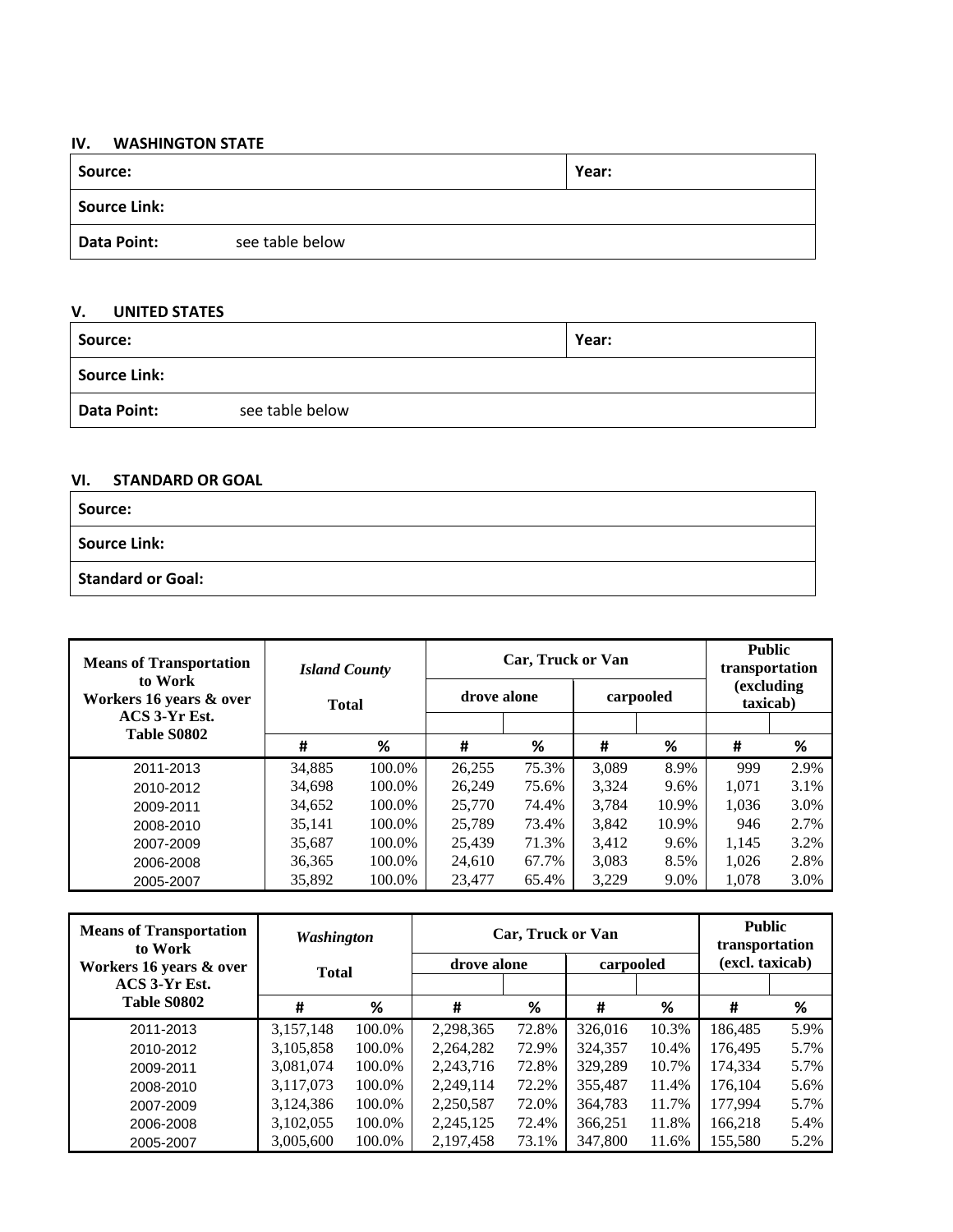#### **IV. WASHINGTON STATE**

| Source:             |                 | Year: |
|---------------------|-----------------|-------|
| <b>Source Link:</b> |                 |       |
| <b>Data Point:</b>  | see table below |       |

# **V. UNITED STATES**

| Source:             |                 | Year: |
|---------------------|-----------------|-------|
| <b>Source Link:</b> |                 |       |
| Data Point:         | see table below |       |

#### **VI. STANDARD OR GOAL**

| Source:                  |  |
|--------------------------|--|
| <b>Source Link:</b>      |  |
| <b>Standard or Goal:</b> |  |

| <b>Means of Transportation</b>     | <b>Island County</b> |        | Car, Truck or Van |       | <b>Public</b><br>transportation |       |                        |      |
|------------------------------------|----------------------|--------|-------------------|-------|---------------------------------|-------|------------------------|------|
| to Work<br>Workers 16 years & over | <b>Total</b>         |        | drove alone       |       | carpooled                       |       | (excluding<br>taxicab) |      |
| ACS 3-Yr Est.<br>Table S0802       |                      |        |                   |       |                                 |       |                        |      |
|                                    | #                    | %      | #                 | %     | #                               | %     | #                      | %    |
| 2011-2013                          | 34,885               | 100.0% | 26,255            | 75.3% | 3.089                           | 8.9%  | 999                    | 2.9% |
| 2010-2012                          | 34.698               | 100.0% | 26.249            | 75.6% | 3.324                           | 9.6%  | 1.071                  | 3.1% |
| 2009-2011                          | 34.652               | 100.0% | 25,770            | 74.4% | 3.784                           | 10.9% | 1.036                  | 3.0% |
| 2008-2010                          | 35,141               | 100.0% | 25,789            | 73.4% | 3,842                           | 10.9% | 946                    | 2.7% |
| 2007-2009                          | 35.687               | 100.0% | 25.439            | 71.3% | 3.412                           | 9.6%  | 1.145                  | 3.2% |
| 2006-2008                          | 36,365               | 100.0% | 24.610            | 67.7% | 3.083                           | 8.5%  | 1.026                  | 2.8% |
| 2005-2007                          | 35.892               | 100.0% | 23,477            | 65.4% | 3.229                           | 9.0%  | 1,078                  | 3.0% |

| <b>Means of Transportation</b><br>to Work | Washington   |        |           | Car, Truck or Van        |         | <b>Public</b><br>transportation |                 |      |
|-------------------------------------------|--------------|--------|-----------|--------------------------|---------|---------------------------------|-----------------|------|
| Workers 16 years & over                   | <b>Total</b> |        |           | carpooled<br>drove alone |         |                                 | (excl. taxicab) |      |
| ACS 3-Yr Est.                             |              |        |           |                          |         |                                 |                 |      |
| <b>Table S0802</b>                        | #            | %      | #         | %                        | #       | %                               | #               | %    |
| 2011-2013                                 | 3,157,148    | 100.0% | 2,298,365 | 72.8%                    | 326,016 | 10.3%                           | 186,485         | 5.9% |
| 2010-2012                                 | 3,105,858    | 100.0% | 2,264,282 | 72.9%                    | 324,357 | 10.4%                           | 176,495         | 5.7% |
| 2009-2011                                 | 3,081,074    | 100.0% | 2,243,716 | 72.8%                    | 329,289 | 10.7%                           | 174,334         | 5.7% |
| 2008-2010                                 | 3,117,073    | 100.0% | 2,249,114 | 72.2%                    | 355,487 | 11.4%                           | 176,104         | 5.6% |
| 2007-2009                                 | 3,124,386    | 100.0% | 2,250,587 | 72.0%                    | 364,783 | 11.7%                           | 177,994         | 5.7% |
| 2006-2008                                 | 3,102,055    | 100.0% | 2,245,125 | 72.4%                    | 366,251 | 11.8%                           | 166,218         | 5.4% |
| 2005-2007                                 | 3,005,600    | 100.0% | 2,197,458 | 73.1%                    | 347,800 | 11.6%                           | 155.580         | 5.2% |